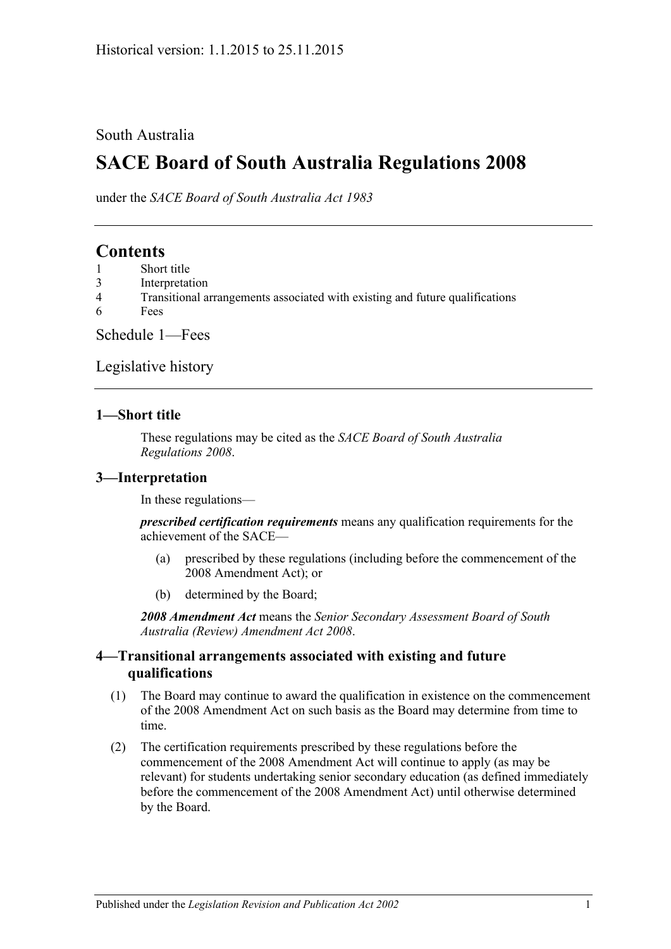### South Australia

# **SACE Board of South Australia Regulations 2008**

under the *SACE Board of South Australia Act 1983*

## **Contents**

- 1 [Short title](#page-0-0)
- 3 [Interpretation](#page-0-1)
- 4 [Transitional arrangements associated with existing and future qualifications](#page-0-2)
- 6 [Fees](#page-1-0)

[Schedule 1—Fees](#page-1-1)

[Legislative history](#page-3-0)

#### <span id="page-0-0"></span>**1—Short title**

These regulations may be cited as the *SACE Board of South Australia Regulations 2008*.

#### <span id="page-0-1"></span>**3—Interpretation**

In these regulations—

*prescribed certification requirements* means any qualification requirements for the achievement of the SACE—

- (a) prescribed by these regulations (including before the commencement of the 2008 Amendment Act); or
- (b) determined by the Board;

*2008 Amendment Act* means the *[Senior Secondary Assessment Board of South](http://www.legislation.sa.gov.au/index.aspx?action=legref&type=act&legtitle=Senior%20Secondary%20Assessment%20Board%20of%20South%20Australia%20(Review)%20Amendment%20Act%202008)  [Australia \(Review\) Amendment Act](http://www.legislation.sa.gov.au/index.aspx?action=legref&type=act&legtitle=Senior%20Secondary%20Assessment%20Board%20of%20South%20Australia%20(Review)%20Amendment%20Act%202008) 2008*.

#### <span id="page-0-2"></span>**4—Transitional arrangements associated with existing and future qualifications**

- (1) The Board may continue to award the qualification in existence on the commencement of the 2008 Amendment Act on such basis as the Board may determine from time to time.
- (2) The certification requirements prescribed by these regulations before the commencement of the 2008 Amendment Act will continue to apply (as may be relevant) for students undertaking senior secondary education (as defined immediately before the commencement of the 2008 Amendment Act) until otherwise determined by the Board.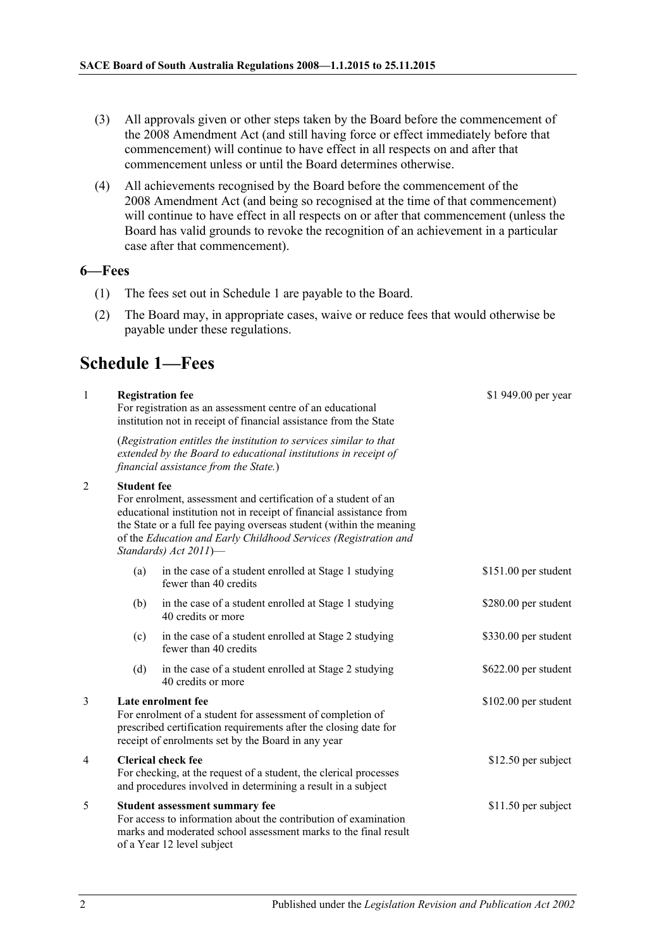- (3) All approvals given or other steps taken by the Board before the commencement of the 2008 Amendment Act (and still having force or effect immediately before that commencement) will continue to have effect in all respects on and after that commencement unless or until the Board determines otherwise.
- (4) All achievements recognised by the Board before the commencement of the 2008 Amendment Act (and being so recognised at the time of that commencement) will continue to have effect in all respects on or after that commencement (unless the Board has valid grounds to revoke the recognition of an achievement in a particular case after that commencement).

#### <span id="page-1-0"></span>**6—Fees**

- (1) The fees set out in Schedule 1 are payable to the Board.
- (2) The Board may, in appropriate cases, waive or reduce fees that would otherwise be payable under these regulations.

## <span id="page-1-1"></span>**Schedule 1—Fees**

| $\mathbf{1}$   |                                                                                                                                                                                                            | <b>Registration fee</b><br>For registration as an assessment centre of an educational<br>institution not in receipt of financial assistance from the State                                                                                                                                               | \$1 949.00 per year  |  |
|----------------|------------------------------------------------------------------------------------------------------------------------------------------------------------------------------------------------------------|----------------------------------------------------------------------------------------------------------------------------------------------------------------------------------------------------------------------------------------------------------------------------------------------------------|----------------------|--|
|                |                                                                                                                                                                                                            | (Registration entitles the institution to services similar to that<br>extended by the Board to educational institutions in receipt of<br>financial assistance from the State.)                                                                                                                           |                      |  |
| $\overline{2}$ | <b>Student fee</b>                                                                                                                                                                                         | For enrolment, assessment and certification of a student of an<br>educational institution not in receipt of financial assistance from<br>the State or a full fee paying overseas student (within the meaning<br>of the Education and Early Childhood Services (Registration and<br>Standards) Act 2011)- |                      |  |
|                | (a)                                                                                                                                                                                                        | in the case of a student enrolled at Stage 1 studying<br>fewer than 40 credits                                                                                                                                                                                                                           | \$151.00 per student |  |
|                | (b)                                                                                                                                                                                                        | in the case of a student enrolled at Stage 1 studying<br>40 credits or more                                                                                                                                                                                                                              | \$280.00 per student |  |
|                | (c)                                                                                                                                                                                                        | in the case of a student enrolled at Stage 2 studying<br>fewer than 40 credits                                                                                                                                                                                                                           | \$330.00 per student |  |
|                | (d)                                                                                                                                                                                                        | in the case of a student enrolled at Stage 2 studying<br>40 credits or more                                                                                                                                                                                                                              | \$622.00 per student |  |
| 3              | Late enrolment fee<br>For enrolment of a student for assessment of completion of<br>prescribed certification requirements after the closing date for<br>receipt of enrolments set by the Board in any year |                                                                                                                                                                                                                                                                                                          | \$102.00 per student |  |
| $\overline{4}$ | <b>Clerical check fee</b><br>For checking, at the request of a student, the clerical processes<br>and procedures involved in determining a result in a subject                                             |                                                                                                                                                                                                                                                                                                          | \$12.50 per subject  |  |
| 5              | Student assessment summary fee<br>For access to information about the contribution of examination<br>marks and moderated school assessment marks to the final result<br>of a Year 12 level subject         |                                                                                                                                                                                                                                                                                                          | \$11.50 per subject  |  |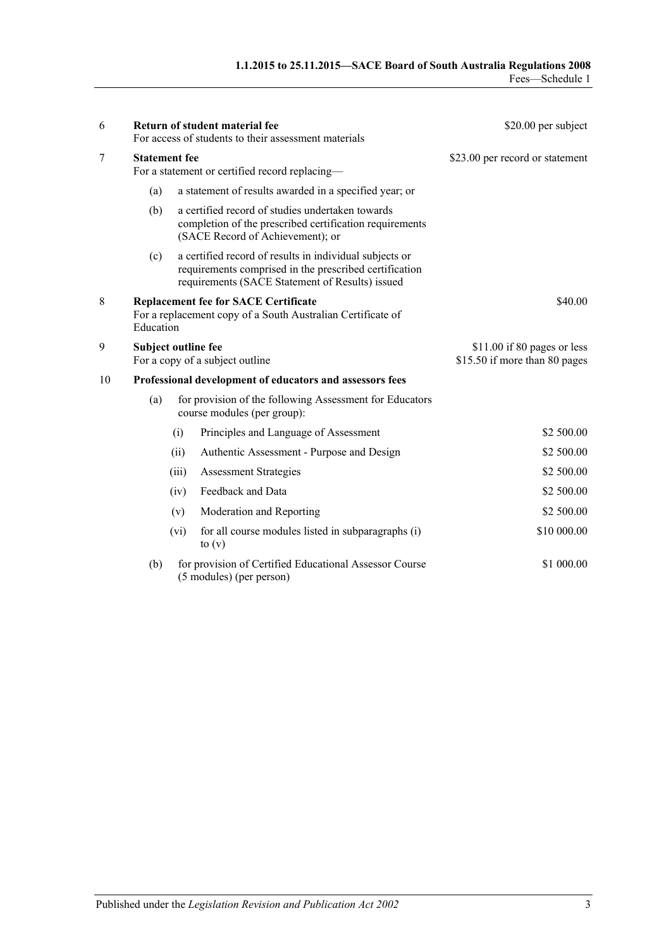| 6  |                                                                                                                         |       | Return of student material fee<br>For access of students to their assessment materials                                                                               | \$20.00 per subject                                          |  |
|----|-------------------------------------------------------------------------------------------------------------------------|-------|----------------------------------------------------------------------------------------------------------------------------------------------------------------------|--------------------------------------------------------------|--|
| 7  | <b>Statement fee</b><br>For a statement or certified record replacing—                                                  |       |                                                                                                                                                                      | \$23.00 per record or statement                              |  |
|    | (a)                                                                                                                     |       | a statement of results awarded in a specified year; or                                                                                                               |                                                              |  |
|    | (b)                                                                                                                     |       | a certified record of studies undertaken towards<br>completion of the prescribed certification requirements<br>(SACE Record of Achievement); or                      |                                                              |  |
|    | (c)                                                                                                                     |       | a certified record of results in individual subjects or<br>requirements comprised in the prescribed certification<br>requirements (SACE Statement of Results) issued |                                                              |  |
| 8  | <b>Replacement fee for SACE Certificate</b><br>For a replacement copy of a South Australian Certificate of<br>Education |       |                                                                                                                                                                      | \$40.00                                                      |  |
| 9  | <b>Subject outline fee</b>                                                                                              |       | For a copy of a subject outline                                                                                                                                      | \$11.00 if 80 pages or less<br>\$15.50 if more than 80 pages |  |
| 10 | Professional development of educators and assessors fees                                                                |       |                                                                                                                                                                      |                                                              |  |
|    | (a)                                                                                                                     |       | for provision of the following Assessment for Educators<br>course modules (per group):                                                                               |                                                              |  |
|    |                                                                                                                         | (i)   | Principles and Language of Assessment                                                                                                                                | \$2 500.00                                                   |  |
|    |                                                                                                                         | (ii)  | Authentic Assessment - Purpose and Design                                                                                                                            | \$2 500.00                                                   |  |
|    |                                                                                                                         | (iii) | <b>Assessment Strategies</b>                                                                                                                                         | \$2 500.00                                                   |  |
|    |                                                                                                                         | (iv)  | Feedback and Data                                                                                                                                                    | \$2 500.00                                                   |  |
|    |                                                                                                                         | (v)   | Moderation and Reporting                                                                                                                                             | \$2 500.00                                                   |  |
|    |                                                                                                                         | (vi)  | for all course modules listed in subparagraphs (i)<br>to $(v)$                                                                                                       | \$10 000.00                                                  |  |
|    | (b)                                                                                                                     |       | for provision of Certified Educational Assessor Course<br>(5 modules) (per person)                                                                                   | \$1 000.00                                                   |  |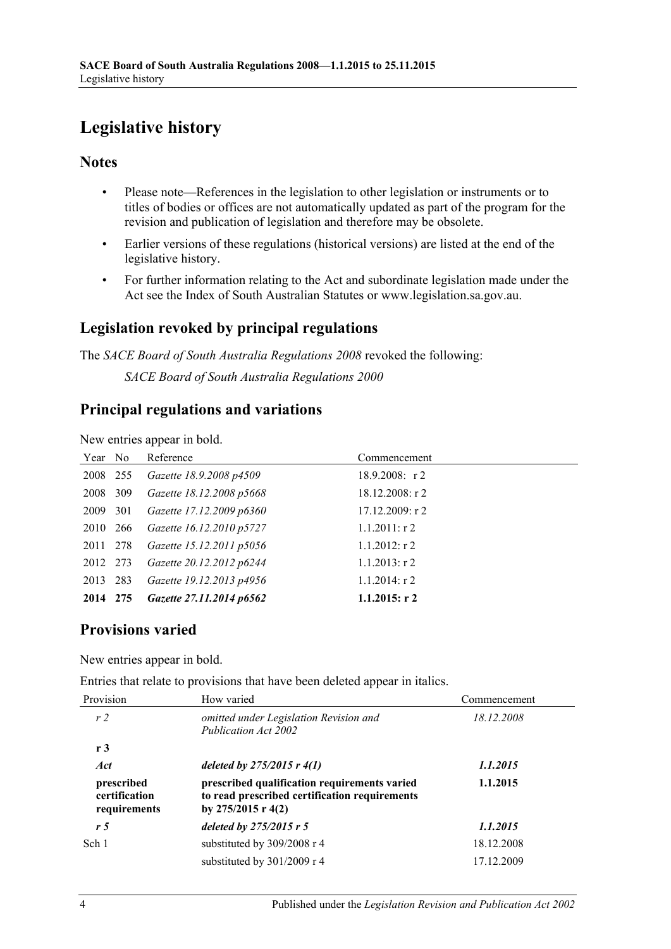# <span id="page-3-0"></span>**Legislative history**

### **Notes**

- Please note—References in the legislation to other legislation or instruments or to titles of bodies or offices are not automatically updated as part of the program for the revision and publication of legislation and therefore may be obsolete.
- Earlier versions of these regulations (historical versions) are listed at the end of the legislative history.
- For further information relating to the Act and subordinate legislation made under the Act see the Index of South Australian Statutes or www.legislation.sa.gov.au.

## **Legislation revoked by principal regulations**

The *SACE Board of South Australia Regulations 2008* revoked the following: *SACE Board of South Australia Regulations 2000*

## **Principal regulations and variations**

New entries appear in bold.

| Year No  |     | Reference                | Commencement      |
|----------|-----|--------------------------|-------------------|
| 2008 255 |     | Gazette 18.9.2008 p4509  | $18.9.2008$ : r2  |
| 2008     | 309 | Gazette 18.12.2008 p5668 | $18.12.2008:$ r 2 |
| 2009 301 |     | Gazette 17.12.2009 p6360 | 17.12.2009: r2    |
| 2010 266 |     | Gazette 16.12.2010 p5727 | $1.1.2011:$ r 2   |
| 2011 278 |     | Gazette 15.12.2011 p5056 | $1.1.2012$ : r 2  |
| 2012 273 |     | Gazette 20.12.2012 p6244 | $1.1.2013$ : r 2  |
| 2013     | 283 | Gazette 19.12.2013 p4956 | $1.1.2014$ : r 2  |
| 2014 275 |     | Gazette 27.11.2014 p6562 | $1.1.2015$ : r 2  |

## **Provisions varied**

New entries appear in bold.

Entries that relate to provisions that have been deleted appear in italics.

| Provision                                   | How varied                                                                                                            | Commencement |
|---------------------------------------------|-----------------------------------------------------------------------------------------------------------------------|--------------|
| r <sub>2</sub>                              | omitted under Legislation Revision and<br>Publication Act 2002                                                        | 18.12.2008   |
| r3                                          |                                                                                                                       |              |
| Act                                         | deleted by $275/2015$ r $4(1)$                                                                                        | 1.1.2015     |
| prescribed<br>certification<br>requirements | prescribed qualification requirements varied<br>to read prescribed certification requirements<br>by $275/2015$ r 4(2) | 1.1.2015     |
| r <sub>5</sub>                              | deleted by $275/2015$ r 5                                                                                             | 1.1.2015     |
| Sch 1                                       | substituted by 309/2008 r 4                                                                                           | 18.12.2008   |
|                                             | substituted by 301/2009 r 4                                                                                           | 17.12.2009   |